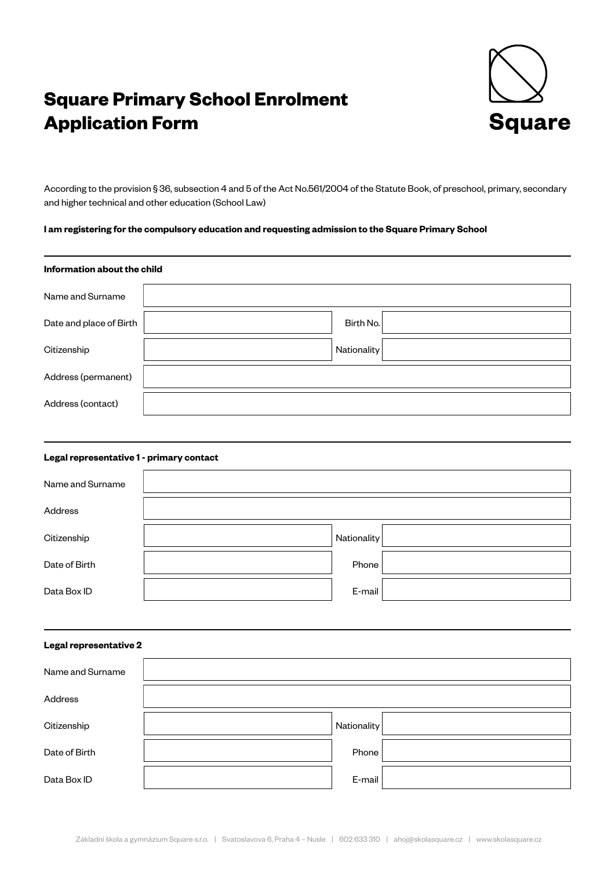## **Square Primary School Enrolment Application Form**



According to the provision § 36, subsection 4 and 5 of the Act No.561/2004 of the Statute Book, of preschool, primary, secondary and higher technical and other education (School Law)

### **I am registering for the compulsory education and requesting admission to the Square Primary School**

# **Information about the child** Name and Surname Date and place of Birth  $\vert$  **Birth No.** Citizenship **Nationality** Nationality Address (permanent) Address (contact)

### **Legal representative 1 - primary contact**

| Name and Surname |             |  |
|------------------|-------------|--|
| Address          |             |  |
| Citizenship      | Nationality |  |
| Date of Birth    | Phone       |  |
| Data Box ID      | E-mail      |  |

### **Legal representative 2**

| Name and Surname |             |  |
|------------------|-------------|--|
| Address          |             |  |
| Citizenship      | Nationality |  |
| Date of Birth    | Phone       |  |
| Data Box ID      | E-mail      |  |